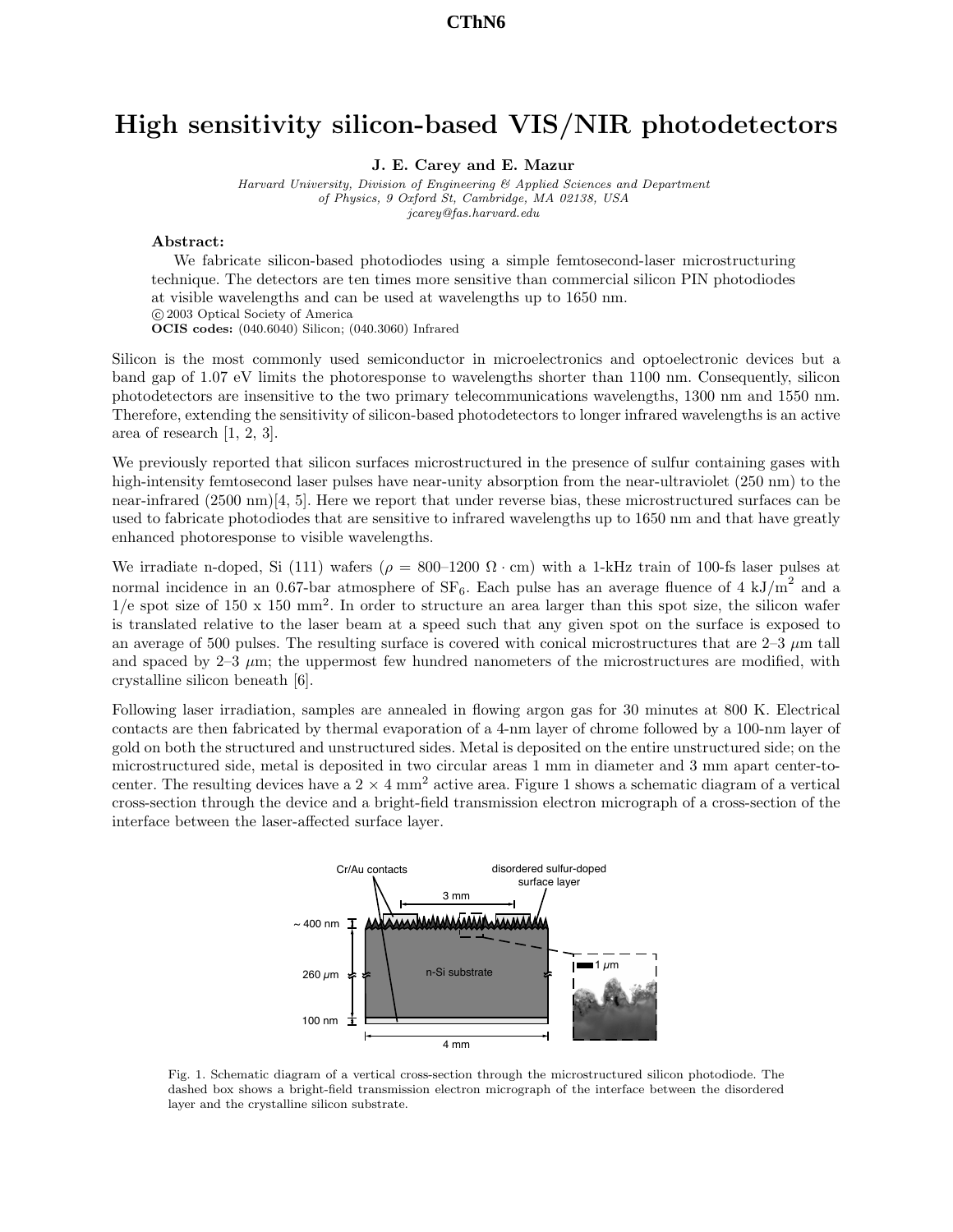## High sensitivity silicon-based VIS/NIR photodetectors

J. E. Carey and E. Mazur

Harvard University, Division of Engineering & Applied Sciences and Department of Physics, 9 Oxford St, Cambridge, MA 02138, USA jcarey@fas.harvard.edu

## Abstract:

We fabricate silicon-based photodiodes using a simple femtosecond-laser microstructuring technique. The detectors are ten times more sensitive than commercial silicon PIN photodiodes at visible wavelengths and can be used at wavelengths up to 1650 nm. c 2003 Optical Society of America OCIS codes: (040.6040) Silicon; (040.3060) Infrared

Silicon is the most commonly used semiconductor in microelectronics and optoelectronic devices but a band gap of 1.07 eV limits the photoresponse to wavelengths shorter than 1100 nm. Consequently, silicon photodetectors are insensitive to the two primary telecommunications wavelengths, 1300 nm and 1550 nm. Therefore, extending the sensitivity of silicon-based photodetectors to longer infrared wavelengths is an active area of research [1, 2, 3].

We previously reported that silicon surfaces microstructured in the presence of sulfur containing gases with high-intensity femtosecond laser pulses have near-unity absorption from the near-ultraviolet (250 nm) to the near-infrared (2500 nm)[4, 5]. Here we report that under reverse bias, these microstructured surfaces can be used to fabricate photodiodes that are sensitive to infrared wavelengths up to 1650 nm and that have greatly enhanced photoresponse to visible wavelengths.

We irradiate n-doped, Si (111) wafers ( $\rho = 800{\text -}1200 \Omega \cdot \text{cm}$ ) with a 1-kHz train of 100-fs laser pulses at normal incidence in an 0.67-bar atmosphere of  $SF_6$ . Each pulse has an average fluence of 4 kJ/m<sup>2</sup> and a  $1/e$  spot size of 150 x 150 mm<sup>2</sup>. In order to structure an area larger than this spot size, the silicon wafer is translated relative to the laser beam at a speed such that any given spot on the surface is exposed to an average of 500 pulses. The resulting surface is covered with conical microstructures that are  $2-3 \mu m$  tall and spaced by  $2-3 \mu$ m; the uppermost few hundred nanometers of the microstructures are modified, with crystalline silicon beneath [6].

Following laser irradiation, samples are annealed in flowing argon gas for 30 minutes at 800 K. Electrical contacts are then fabricated by thermal evaporation of a 4-nm layer of chrome followed by a 100-nm layer of gold on both the structured and unstructured sides. Metal is deposited on the entire unstructured side; on the microstructured side, metal is deposited in two circular areas 1 mm in diameter and 3 mm apart center-tocenter. The resulting devices have a  $2 \times 4$  mm<sup>2</sup> active area. Figure 1 shows a schematic diagram of a vertical cross-section through the device and a bright-field transmission electron micrograph of a cross-section of the interface between the laser-affected surface layer.



Fig. 1. Schematic diagram of a vertical cross-section through the microstructured silicon photodiode. The dashed box shows a bright-field transmission electron micrograph of the interface between the disordered layer and the crystalline silicon substrate.